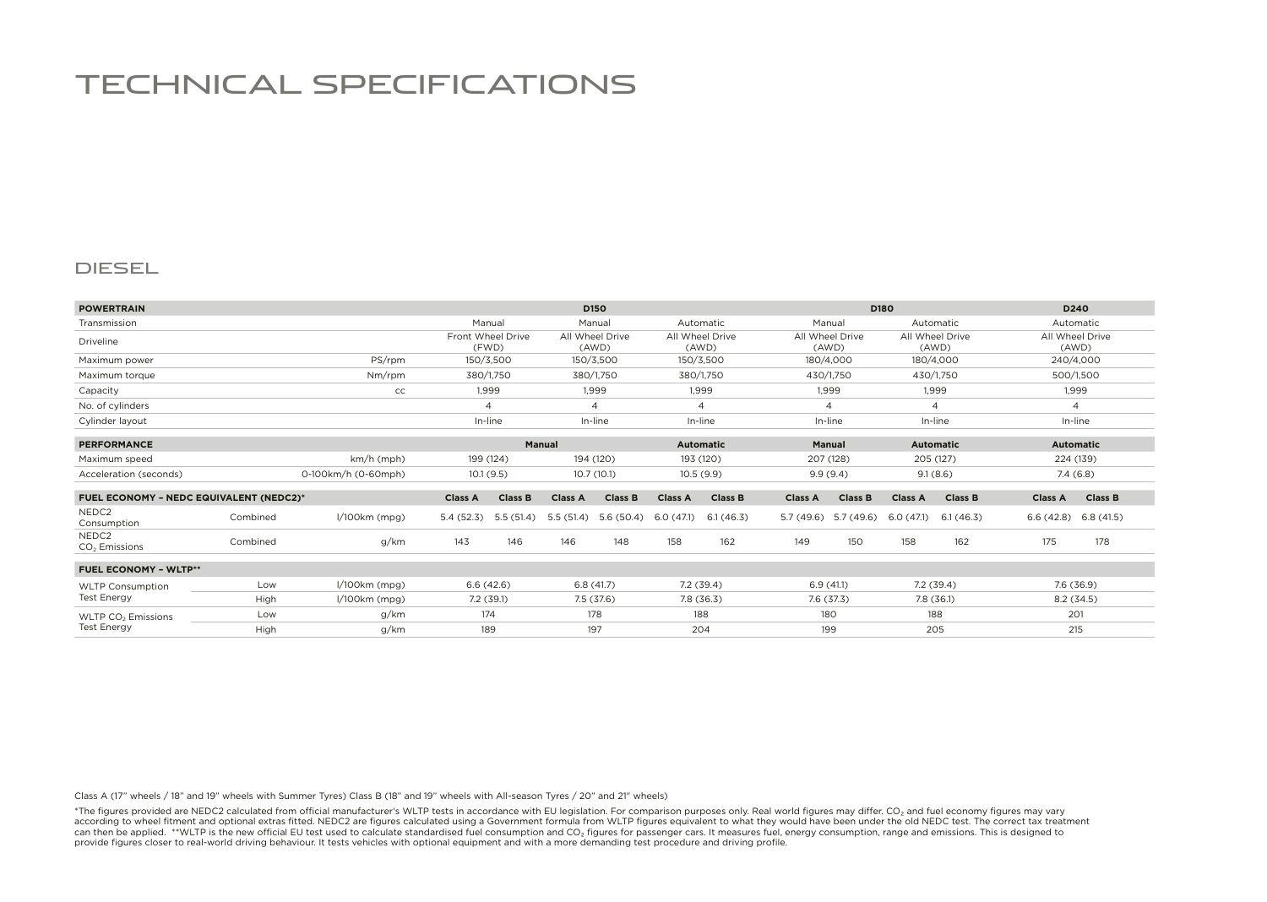## TECHNICAL SPECIFICATIONS

## DIESEL

| <b>POWERTRAIN</b>                                    |                     |                 |                | D <sub>150</sub>           |                |                          |                |                          | D180           |                          |                          |                          | D <sub>240</sub> |                          |  |
|------------------------------------------------------|---------------------|-----------------|----------------|----------------------------|----------------|--------------------------|----------------|--------------------------|----------------|--------------------------|--------------------------|--------------------------|------------------|--------------------------|--|
| Transmission                                         |                     |                 |                | Manual                     |                | Manual                   |                | Automatic                |                | Manual                   |                          | Automatic                |                  | Automatic                |  |
| Driveline                                            |                     |                 |                | Front Wheel Drive<br>(FWD) |                | All Wheel Drive<br>(AWD) |                | All Wheel Drive<br>(AWD) |                | All Wheel Drive<br>(AWD) |                          | All Wheel Drive<br>(AWD) |                  | All Wheel Drive<br>(AWD) |  |
| Maximum power                                        |                     | PS/rpm          |                | 150/3,500                  |                | 150/3,500                |                | 150/3,500                |                | 180/4,000                |                          | 180/4,000                |                  | 240/4,000                |  |
| Maximum torque                                       |                     | Nm/rpm          |                | 380/1,750                  |                | 380/1,750                |                | 380/1,750                |                | 430/1,750                |                          | 430/1,750                | 500/1,500        |                          |  |
| Capacity                                             |                     | cc              |                | 1,999                      |                | 1.999                    |                | 1,999                    |                | 1,999                    |                          | 1,999                    |                  | 1,999                    |  |
| No. of cylinders                                     |                     |                 |                | $\overline{A}$             | $\overline{4}$ |                          | 4              |                          | $\overline{4}$ |                          | $\overline{\mathcal{A}}$ |                          | $\overline{4}$   |                          |  |
| Cylinder layout                                      |                     |                 | In-line        |                            | In-line        |                          | In-line        |                          | In-line        |                          | In-line                  |                          | In-line          |                          |  |
| <b>PERFORMANCE</b>                                   |                     |                 | <b>Manual</b>  |                            |                |                          |                | <b>Automatic</b>         |                | <b>Manual</b>            |                          | <b>Automatic</b>         |                  | <b>Automatic</b>         |  |
| Maximum speed                                        | km/h (mph)          |                 | 199 (124)      |                            | 194 (120)      |                          | 193 (120)      |                          | 207 (128)      |                          | 205 (127)                |                          | 224 (139)        |                          |  |
| Acceleration (seconds)                               | 0-100km/h (0-60mph) |                 | 10.1(9.5)      |                            | 10.7 (10.1)    |                          | 10.5(9.9)      |                          | 9.9(9.4)       |                          | 9.1(8.6)                 |                          | 7.4(6.8)         |                          |  |
| <b>FUEL ECONOMY - NEDC EQUIVALENT (NEDC2)*</b>       |                     |                 | <b>Class A</b> | <b>Class B</b>             | <b>Class A</b> | <b>Class B</b>           | <b>Class A</b> | <b>Class B</b>           | <b>Class A</b> | <b>Class B</b>           | <b>Class A</b>           | <b>Class B</b>           | <b>Class A</b>   | <b>Class B</b>           |  |
| NEDC <sub>2</sub><br>Consumption                     | Combined            | l/100km (mpg)   | 5.4(52.3)      | 5.5(51.4)                  | 5.5(51.4)      | 5.6(50.4)                | 6.0(47.1)      | 6.1(46.3)                | 5.7(49.6)      | 5.7 (49.6)               | 6.0(47.1)                | 6.1(46.3)                | 6.6(42.8)        | 6.8(41.5)                |  |
| NEDC <sub>2</sub><br>CO <sub>2</sub> Emissions       | Combined            | g/km            | 143            | 146                        | 146            | 148                      | 158            | 162                      | 149            | 150                      | 158                      | 162                      | 175              | 178                      |  |
| <b>FUEL ECONOMY - WLTP**</b>                         |                     |                 |                |                            |                |                          |                |                          |                |                          |                          |                          |                  |                          |  |
| <b>WLTP Consumption</b><br><b>Test Energy</b>        | Low                 | l/100km (mpg)   | 6.6(42.6)      |                            | 6.8(41.7)      |                          | 7.2(39.4)      |                          | 6.9(41.1)      |                          | 7.2(39.4)                |                          | 7.6 (36.9)       |                          |  |
|                                                      | High                | $1/100km$ (mpg) | 7.2(39.1)      |                            | 7.5 (37.6)     |                          | 7.8(36.3)      |                          | 7.6 (37.3)     |                          | 7.8(36.1)                |                          | 8.2(34.5)        |                          |  |
| WLTP CO <sub>2</sub> Emissions<br><b>Test Energy</b> | Low                 | g/km            | 174            |                            | 178            |                          | 188            |                          | 180            |                          | 188                      |                          |                  | 201                      |  |
|                                                      | High                | g/km            | 189            |                            | 197            |                          | 204            |                          | 199            |                          | 205                      |                          |                  | 215                      |  |

Class A (17" wheels / 18" and 19" wheels with Summer Tyres) Class B (18" and 19" wheels with All-season Tyres / 20" and 21" wheels)

\*The figures provided are NEDC2 calculated from official manufacturer's WLTP tests in accordance with EU legislation. For comparison purposes only. Real world figures may differ. CO2 and fuel economy figures may vary according to wheel fitment and optional extras fitted. NEDC2 are figures calculated using a Government formula from WLTP figures equivalent to what they would have been under the old NEDC test. The correct tax treatment can then be applied. \*\*WLTP is the new official EU test used to calculate standardised fuel consumption and CO<sub>2</sub> figures for passenger cars. It measures fuel, energy consumption, range and emissions. This is designed to provide figures closer to real-world driving behaviour. It tests vehicles with optional equipment and with a more demanding test procedure and driving profile.